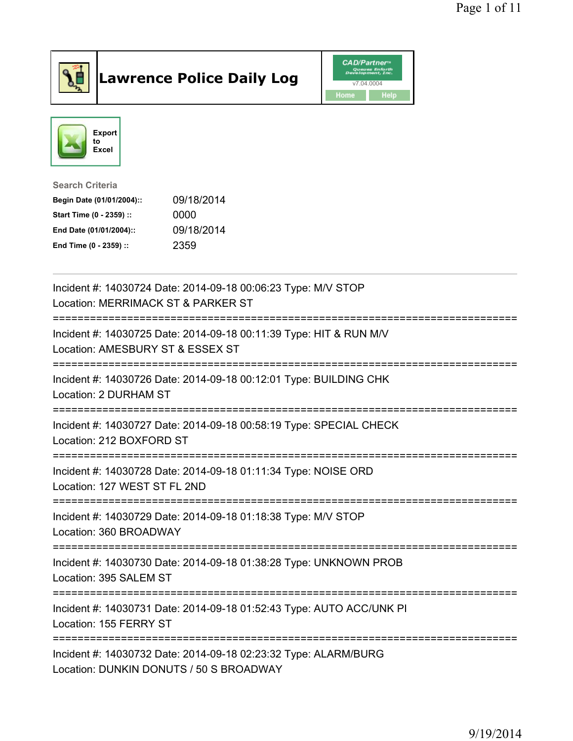

## Lawrence Police Daily Log **Daniel CAD/Partner**





Search Criteria Begin Date (01/01/2004):: 09/18/2014 Start Time (0 - 2359) :: 0000 End Date (01/01/2004):: 09/18/2014

End Time (0 - 2359) :: 2359

| Incident #: 14030724 Date: 2014-09-18 00:06:23 Type: M/V STOP<br>Location: MERRIMACK ST & PARKER ST                                        |
|--------------------------------------------------------------------------------------------------------------------------------------------|
| .===============================<br>Incident #: 14030725 Date: 2014-09-18 00:11:39 Type: HIT & RUN M/V<br>Location: AMESBURY ST & ESSEX ST |
| Incident #: 14030726 Date: 2014-09-18 00:12:01 Type: BUILDING CHK<br>Location: 2 DURHAM ST                                                 |
| Incident #: 14030727 Date: 2014-09-18 00:58:19 Type: SPECIAL CHECK<br>Location: 212 BOXFORD ST                                             |
| Incident #: 14030728 Date: 2014-09-18 01:11:34 Type: NOISE ORD<br>Location: 127 WEST ST FL 2ND                                             |
| Incident #: 14030729 Date: 2014-09-18 01:18:38 Type: M/V STOP<br>Location: 360 BROADWAY                                                    |
| Incident #: 14030730 Date: 2014-09-18 01:38:28 Type: UNKNOWN PROB<br>Location: 395 SALEM ST                                                |
| Incident #: 14030731 Date: 2014-09-18 01:52:43 Type: AUTO ACC/UNK PI<br>Location: 155 FERRY ST                                             |
| Incident #: 14030732 Date: 2014-09-18 02:23:32 Type: ALARM/BURG<br>Location: DUNKIN DONUTS / 50 S BROADWAY                                 |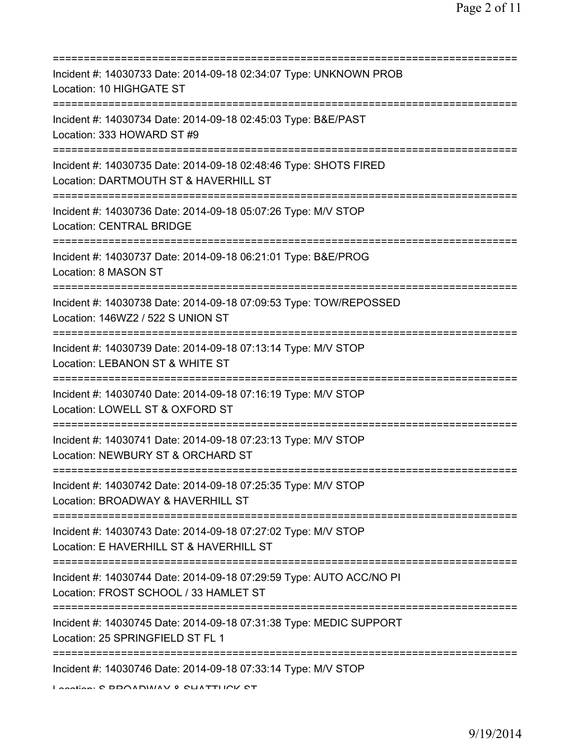| Incident #: 14030733 Date: 2014-09-18 02:34:07 Type: UNKNOWN PROB<br>Location: 10 HIGHGATE ST                                                  |
|------------------------------------------------------------------------------------------------------------------------------------------------|
| Incident #: 14030734 Date: 2014-09-18 02:45:03 Type: B&E/PAST<br>Location: 333 HOWARD ST #9<br>=========================                       |
| Incident #: 14030735 Date: 2014-09-18 02:48:46 Type: SHOTS FIRED<br>Location: DARTMOUTH ST & HAVERHILL ST                                      |
| Incident #: 14030736 Date: 2014-09-18 05:07:26 Type: M/V STOP<br><b>Location: CENTRAL BRIDGE</b><br>=======================                    |
| Incident #: 14030737 Date: 2014-09-18 06:21:01 Type: B&E/PROG<br>Location: 8 MASON ST                                                          |
| Incident #: 14030738 Date: 2014-09-18 07:09:53 Type: TOW/REPOSSED<br>Location: 146WZ2 / 522 S UNION ST                                         |
| Incident #: 14030739 Date: 2014-09-18 07:13:14 Type: M/V STOP<br>Location: LEBANON ST & WHITE ST<br>=================================          |
| Incident #: 14030740 Date: 2014-09-18 07:16:19 Type: M/V STOP<br>Location: LOWELL ST & OXFORD ST                                               |
| Incident #: 14030741 Date: 2014-09-18 07:23:13 Type: M/V STOP<br>Location: NEWBURY ST & ORCHARD ST                                             |
| Incident #: 14030742 Date: 2014-09-18 07:25:35 Type: M/V STOP<br>Location: BROADWAY & HAVERHILL ST                                             |
| Incident #: 14030743 Date: 2014-09-18 07:27:02 Type: M/V STOP<br>Location: E HAVERHILL ST & HAVERHILL ST                                       |
| Incident #: 14030744 Date: 2014-09-18 07:29:59 Type: AUTO ACC/NO PI<br>Location: FROST SCHOOL / 33 HAMLET ST                                   |
| ;===================================<br>Incident #: 14030745 Date: 2014-09-18 07:31:38 Type: MEDIC SUPPORT<br>Location: 25 SPRINGFIELD ST FL 1 |
| Incident #: 14030746 Date: 2014-09-18 07:33:14 Type: M/V STOP                                                                                  |

Location: C BROADWAY & CLIATTUCK CT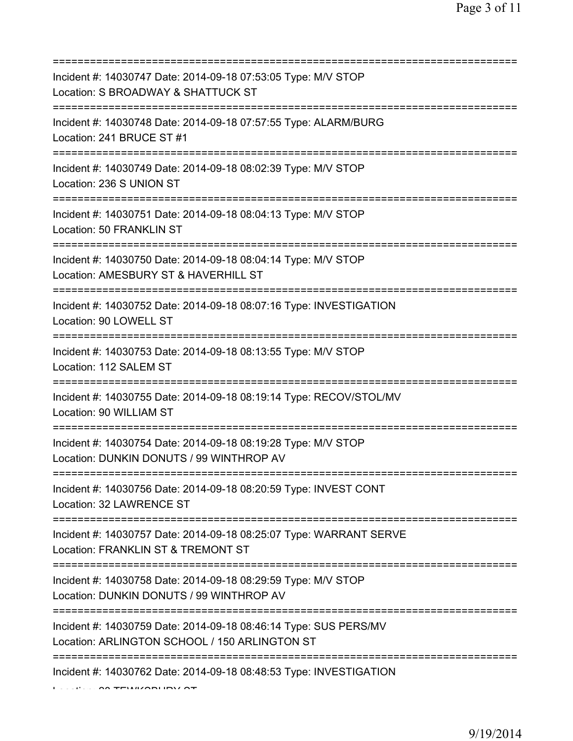| Incident #: 14030747 Date: 2014-09-18 07:53:05 Type: M/V STOP<br>Location: S BROADWAY & SHATTUCK ST<br>===============================            |
|---------------------------------------------------------------------------------------------------------------------------------------------------|
| Incident #: 14030748 Date: 2014-09-18 07:57:55 Type: ALARM/BURG<br>Location: 241 BRUCE ST #1                                                      |
| Incident #: 14030749 Date: 2014-09-18 08:02:39 Type: M/V STOP<br>Location: 236 S UNION ST                                                         |
| Incident #: 14030751 Date: 2014-09-18 08:04:13 Type: M/V STOP<br>Location: 50 FRANKLIN ST<br>=====================================                |
| Incident #: 14030750 Date: 2014-09-18 08:04:14 Type: M/V STOP<br>Location: AMESBURY ST & HAVERHILL ST<br>=====================================    |
| Incident #: 14030752 Date: 2014-09-18 08:07:16 Type: INVESTIGATION<br>Location: 90 LOWELL ST                                                      |
| Incident #: 14030753 Date: 2014-09-18 08:13:55 Type: M/V STOP<br>Location: 112 SALEM ST                                                           |
| Incident #: 14030755 Date: 2014-09-18 08:19:14 Type: RECOV/STOL/MV<br>Location: 90 WILLIAM ST                                                     |
| Incident #: 14030754 Date: 2014-09-18 08:19:28 Type: M/V STOP<br>Location: DUNKIN DONUTS / 99 WINTHROP AV                                         |
| Incident #: 14030756 Date: 2014-09-18 08:20:59 Type: INVEST CONT<br>Location: 32 LAWRENCE ST                                                      |
| Incident #: 14030757 Date: 2014-09-18 08:25:07 Type: WARRANT SERVE<br>Location: FRANKLIN ST & TREMONT ST<br>===================================== |
| Incident #: 14030758 Date: 2014-09-18 08:29:59 Type: M/V STOP<br>Location: DUNKIN DONUTS / 99 WINTHROP AV                                         |
| Incident #: 14030759 Date: 2014-09-18 08:46:14 Type: SUS PERS/MV<br>Location: ARLINGTON SCHOOL / 150 ARLINGTON ST                                 |
| Incident #: 14030762 Date: 2014-09-18 08:48:53 Type: INVESTIGATION                                                                                |

 $L = \Omega$  TEWSSEN IN  $\Omega$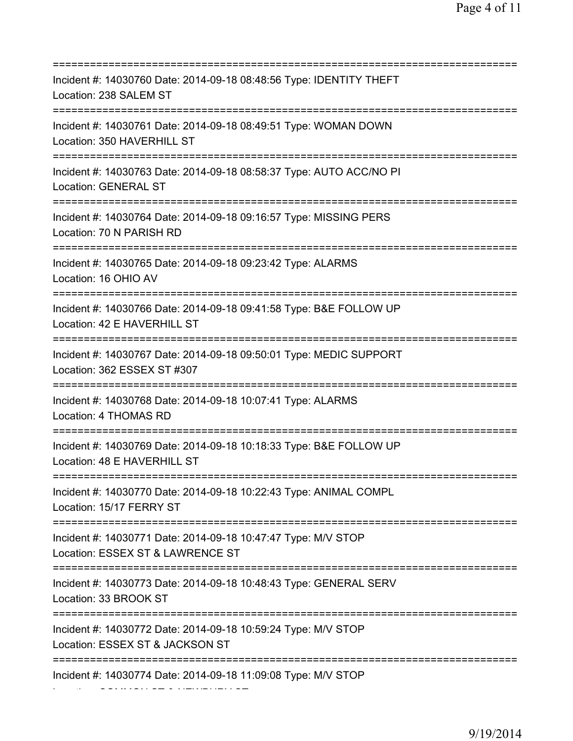=========================================================================== Incident #: 14030760 Date: 2014-09-18 08:48:56 Type: IDENTITY THEFT Location: 238 SALEM ST =========================================================================== Incident #: 14030761 Date: 2014-09-18 08:49:51 Type: WOMAN DOWN Location: 350 HAVERHILL ST =========================================================================== Incident #: 14030763 Date: 2014-09-18 08:58:37 Type: AUTO ACC/NO PI Location: GENERAL ST =========================================================================== Incident #: 14030764 Date: 2014-09-18 09:16:57 Type: MISSING PERS Location: 70 N PARISH RD =========================================================================== Incident #: 14030765 Date: 2014-09-18 09:23:42 Type: ALARMS Location: 16 OHIO AV =========================================================================== Incident #: 14030766 Date: 2014-09-18 09:41:58 Type: B&E FOLLOW UP Location: 42 E HAVERHILL ST =========================================================================== Incident #: 14030767 Date: 2014-09-18 09:50:01 Type: MEDIC SUPPORT Location: 362 ESSEX ST #307 =========================================================================== Incident #: 14030768 Date: 2014-09-18 10:07:41 Type: ALARMS Location: 4 THOMAS RD =========================================================================== Incident #: 14030769 Date: 2014-09-18 10:18:33 Type: B&E FOLLOW UP Location: 48 E HAVERHILL ST =========================================================================== Incident #: 14030770 Date: 2014-09-18 10:22:43 Type: ANIMAL COMPL Location: 15/17 FERRY ST =========================================================================== Incident #: 14030771 Date: 2014-09-18 10:47:47 Type: M/V STOP Location: ESSEX ST & LAWRENCE ST =========================================================================== Incident #: 14030773 Date: 2014-09-18 10:48:43 Type: GENERAL SERV Location: 33 BROOK ST =========================================================================== Incident #: 14030772 Date: 2014-09-18 10:59:24 Type: M/V STOP Location: ESSEX ST & JACKSON ST =========================================================================== Incident #: 14030774 Date: 2014-09-18 11:09:08 Type: M/V STOP

Location: COMMON ST & NEWBURY ST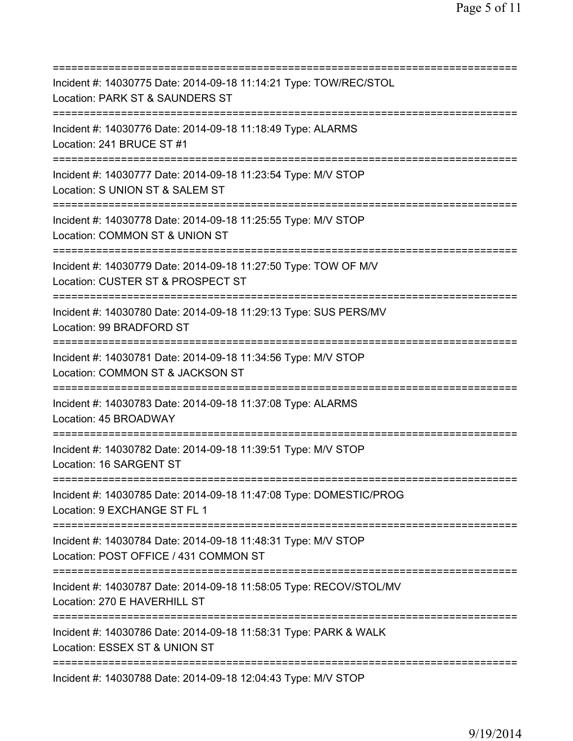| Incident #: 14030775 Date: 2014-09-18 11:14:21 Type: TOW/REC/STOL<br>Location: PARK ST & SAUNDERS ST                                                           |
|----------------------------------------------------------------------------------------------------------------------------------------------------------------|
| :=========================<br>------------------------------------<br>Incident #: 14030776 Date: 2014-09-18 11:18:49 Type: ALARMS<br>Location: 241 BRUCE ST #1 |
| Incident #: 14030777 Date: 2014-09-18 11:23:54 Type: M/V STOP<br>Location: S UNION ST & SALEM ST                                                               |
| Incident #: 14030778 Date: 2014-09-18 11:25:55 Type: M/V STOP<br>Location: COMMON ST & UNION ST                                                                |
| Incident #: 14030779 Date: 2014-09-18 11:27:50 Type: TOW OF M/V<br>Location: CUSTER ST & PROSPECT ST                                                           |
| Incident #: 14030780 Date: 2014-09-18 11:29:13 Type: SUS PERS/MV<br>Location: 99 BRADFORD ST                                                                   |
| Incident #: 14030781 Date: 2014-09-18 11:34:56 Type: M/V STOP<br>Location: COMMON ST & JACKSON ST                                                              |
| Incident #: 14030783 Date: 2014-09-18 11:37:08 Type: ALARMS<br>Location: 45 BROADWAY                                                                           |
| Incident #: 14030782 Date: 2014-09-18 11:39:51 Type: M/V STOP<br>Location: 16 SARGENT ST                                                                       |
| Incident #: 14030785 Date: 2014-09-18 11:47:08 Type: DOMESTIC/PROG<br>Location: 9 EXCHANGE ST FL 1                                                             |
| Incident #: 14030784 Date: 2014-09-18 11:48:31 Type: M/V STOP<br>Location: POST OFFICE / 431 COMMON ST<br>-------------------------------                      |
| Incident #: 14030787 Date: 2014-09-18 11:58:05 Type: RECOV/STOL/MV<br>Location: 270 E HAVERHILL ST                                                             |
| Incident #: 14030786 Date: 2014-09-18 11:58:31 Type: PARK & WALK<br>Location: ESSEX ST & UNION ST                                                              |
| Incident #: 14030788 Date: 2014-09-18 12:04:43 Type: M/V STOP                                                                                                  |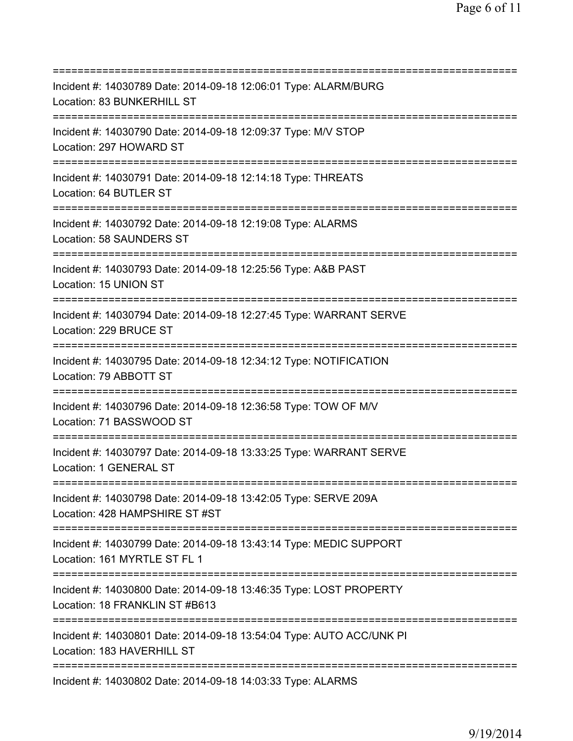=========================================================================== Incident #: 14030789 Date: 2014-09-18 12:06:01 Type: ALARM/BURG Location: 83 BUNKERHILL ST =========================================================================== Incident #: 14030790 Date: 2014-09-18 12:09:37 Type: M/V STOP Location: 297 HOWARD ST =========================================================================== Incident #: 14030791 Date: 2014-09-18 12:14:18 Type: THREATS Location: 64 BUTLER ST =========================================================================== Incident #: 14030792 Date: 2014-09-18 12:19:08 Type: ALARMS Location: 58 SAUNDERS ST =========================================================================== Incident #: 14030793 Date: 2014-09-18 12:25:56 Type: A&B PAST Location: 15 UNION ST =========================================================================== Incident #: 14030794 Date: 2014-09-18 12:27:45 Type: WARRANT SERVE Location: 229 BRUCE ST =========================================================================== Incident #: 14030795 Date: 2014-09-18 12:34:12 Type: NOTIFICATION Location: 79 ABBOTT ST =========================================================================== Incident #: 14030796 Date: 2014-09-18 12:36:58 Type: TOW OF M/V Location: 71 BASSWOOD ST =========================================================================== Incident #: 14030797 Date: 2014-09-18 13:33:25 Type: WARRANT SERVE Location: 1 GENERAL ST =========================================================================== Incident #: 14030798 Date: 2014-09-18 13:42:05 Type: SERVE 209A Location: 428 HAMPSHIRE ST #ST =========================================================================== Incident #: 14030799 Date: 2014-09-18 13:43:14 Type: MEDIC SUPPORT Location: 161 MYRTLE ST FL 1 =========================================================================== Incident #: 14030800 Date: 2014-09-18 13:46:35 Type: LOST PROPERTY Location: 18 FRANKLIN ST #B613 =========================================================================== Incident #: 14030801 Date: 2014-09-18 13:54:04 Type: AUTO ACC/UNK PI Location: 183 HAVERHILL ST =========================================================================== Incident #: 14030802 Date: 2014-09-18 14:03:33 Type: ALARMS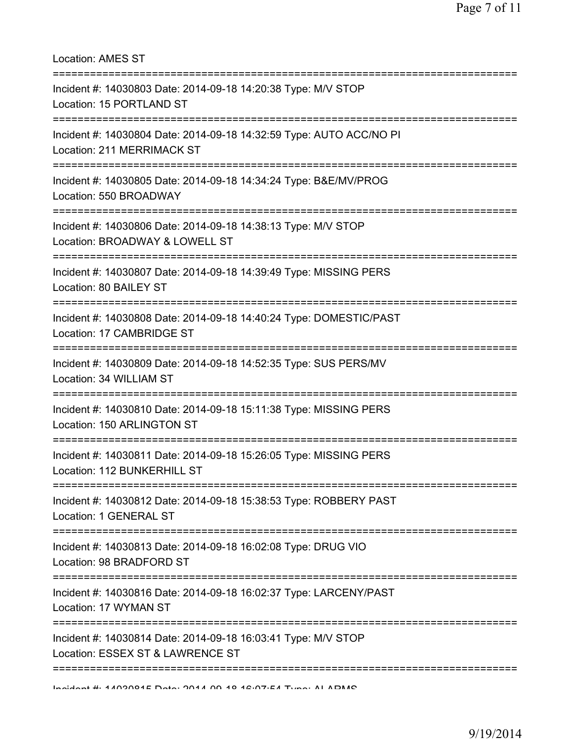| Location: AMES ST                                                                                                         |  |
|---------------------------------------------------------------------------------------------------------------------------|--|
| Incident #: 14030803 Date: 2014-09-18 14:20:38 Type: M/V STOP<br>Location: 15 PORTLAND ST                                 |  |
| Incident #: 14030804 Date: 2014-09-18 14:32:59 Type: AUTO ACC/NO PI<br>Location: 211 MERRIMACK ST                         |  |
| Incident #: 14030805 Date: 2014-09-18 14:34:24 Type: B&E/MV/PROG<br>Location: 550 BROADWAY                                |  |
| Incident #: 14030806 Date: 2014-09-18 14:38:13 Type: M/V STOP<br>Location: BROADWAY & LOWELL ST                           |  |
| :=========================<br>Incident #: 14030807 Date: 2014-09-18 14:39:49 Type: MISSING PERS<br>Location: 80 BAILEY ST |  |
| Incident #: 14030808 Date: 2014-09-18 14:40:24 Type: DOMESTIC/PAST<br>Location: 17 CAMBRIDGE ST                           |  |
| Incident #: 14030809 Date: 2014-09-18 14:52:35 Type: SUS PERS/MV<br>Location: 34 WILLIAM ST                               |  |
| Incident #: 14030810 Date: 2014-09-18 15:11:38 Type: MISSING PERS<br>Location: 150 ARLINGTON ST                           |  |
| Incident #: 14030811 Date: 2014-09-18 15:26:05 Type: MISSING PERS<br>Location: 112 BUNKERHILL ST                          |  |
| Incident #: 14030812 Date: 2014-09-18 15:38:53 Type: ROBBERY PAST<br>Location: 1 GENERAL ST                               |  |
| Incident #: 14030813 Date: 2014-09-18 16:02:08 Type: DRUG VIO<br>Location: 98 BRADFORD ST                                 |  |
| Incident #: 14030816 Date: 2014-09-18 16:02:37 Type: LARCENY/PAST<br>Location: 17 WYMAN ST                                |  |
| Incident #: 14030814 Date: 2014-09-18 16:03:41 Type: M/V STOP<br>Location: ESSEX ST & LAWRENCE ST                         |  |
| Incident #: 4.409004E Deta: 2044 00.40.42:07:EA Tune: AI ADMO                                                             |  |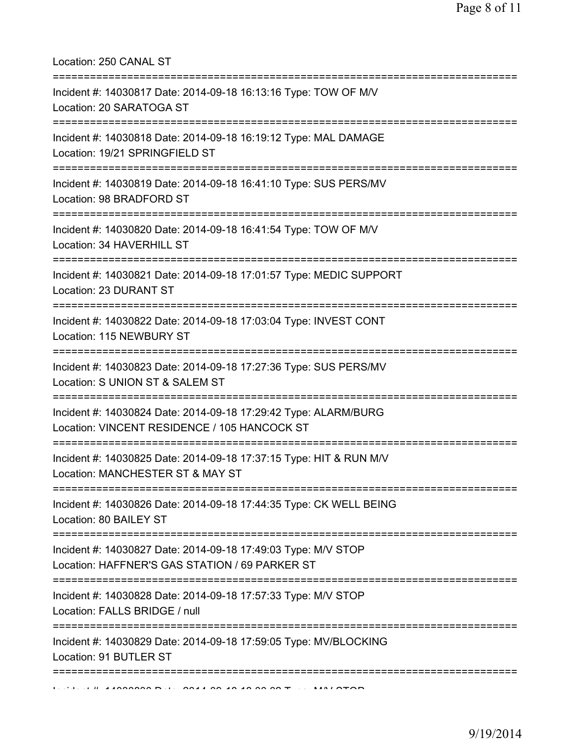Location: 250 CANAL ST

| Incident #: 14030817 Date: 2014-09-18 16:13:16 Type: TOW OF M/V<br>Location: 20 SARATOGA ST                                          |
|--------------------------------------------------------------------------------------------------------------------------------------|
| Incident #: 14030818 Date: 2014-09-18 16:19:12 Type: MAL DAMAGE<br>Location: 19/21 SPRINGFIELD ST                                    |
| Incident #: 14030819 Date: 2014-09-18 16:41:10 Type: SUS PERS/MV<br>Location: 98 BRADFORD ST                                         |
| Incident #: 14030820 Date: 2014-09-18 16:41:54 Type: TOW OF M/V<br>Location: 34 HAVERHILL ST<br>------------------------------------ |
| Incident #: 14030821 Date: 2014-09-18 17:01:57 Type: MEDIC SUPPORT<br>Location: 23 DURANT ST                                         |
| Incident #: 14030822 Date: 2014-09-18 17:03:04 Type: INVEST CONT<br>Location: 115 NEWBURY ST                                         |
| Incident #: 14030823 Date: 2014-09-18 17:27:36 Type: SUS PERS/MV<br>Location: S UNION ST & SALEM ST                                  |
| Incident #: 14030824 Date: 2014-09-18 17:29:42 Type: ALARM/BURG<br>Location: VINCENT RESIDENCE / 105 HANCOCK ST                      |
| Incident #: 14030825 Date: 2014-09-18 17:37:15 Type: HIT & RUN M/V<br>Location: MANCHESTER ST & MAY ST                               |
| Incident #: 14030826 Date: 2014-09-18 17:44:35 Type: CK WELL BEING<br>Location: 80 BAILEY ST                                         |
| Incident #: 14030827 Date: 2014-09-18 17:49:03 Type: M/V STOP<br>Location: HAFFNER'S GAS STATION / 69 PARKER ST                      |
| Incident #: 14030828 Date: 2014-09-18 17:57:33 Type: M/V STOP<br>Location: FALLS BRIDGE / null                                       |
| Incident #: 14030829 Date: 2014-09-18 17:59:05 Type: MV/BLOCKING<br>Location: 91 BUTLER ST                                           |
|                                                                                                                                      |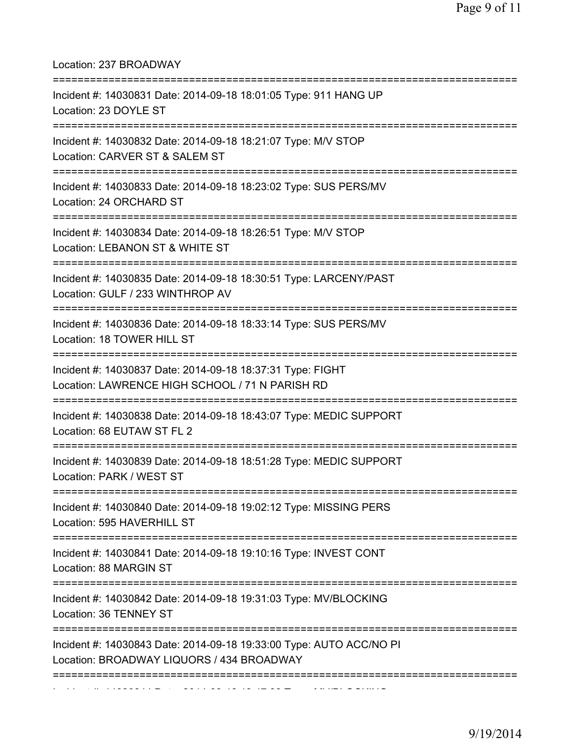Location: 237 BROADWAY =========================================================================== Incident #: 14030831 Date: 2014-09-18 18:01:05 Type: 911 HANG UP Location: 23 DOYLE ST =========================================================================== Incident #: 14030832 Date: 2014-09-18 18:21:07 Type: M/V STOP Location: CARVER ST & SALEM ST =========================================================================== Incident #: 14030833 Date: 2014-09-18 18:23:02 Type: SUS PERS/MV Location: 24 ORCHARD ST =========================================================================== Incident #: 14030834 Date: 2014-09-18 18:26:51 Type: M/V STOP Location: LEBANON ST & WHITE ST =========================================================================== Incident #: 14030835 Date: 2014-09-18 18:30:51 Type: LARCENY/PAST Location: GULF / 233 WINTHROP AV =========================================================================== Incident #: 14030836 Date: 2014-09-18 18:33:14 Type: SUS PERS/MV Location: 18 TOWER HILL ST =========================================================================== Incident #: 14030837 Date: 2014-09-18 18:37:31 Type: FIGHT Location: LAWRENCE HIGH SCHOOL / 71 N PARISH RD =========================================================================== Incident #: 14030838 Date: 2014-09-18 18:43:07 Type: MEDIC SUPPORT Location: 68 EUTAW ST FL 2 =========================================================================== Incident #: 14030839 Date: 2014-09-18 18:51:28 Type: MEDIC SUPPORT Location: PARK / WEST ST =========================================================================== Incident #: 14030840 Date: 2014-09-18 19:02:12 Type: MISSING PERS Location: 595 HAVERHILL ST =========================================================================== Incident #: 14030841 Date: 2014-09-18 19:10:16 Type: INVEST CONT Location: 88 MARGIN ST =========================================================================== Incident #: 14030842 Date: 2014-09-18 19:31:03 Type: MV/BLOCKING Location: 36 TENNEY ST =========================================================================== Incident #: 14030843 Date: 2014-09-18 19:33:00 Type: AUTO ACC/NO PI Location: BROADWAY LIQUORS / 434 BROADWAY =========================================================================== Incident #: 14030844 Date: 2014 09 18 19:47:38 Type: MV/BLOCKING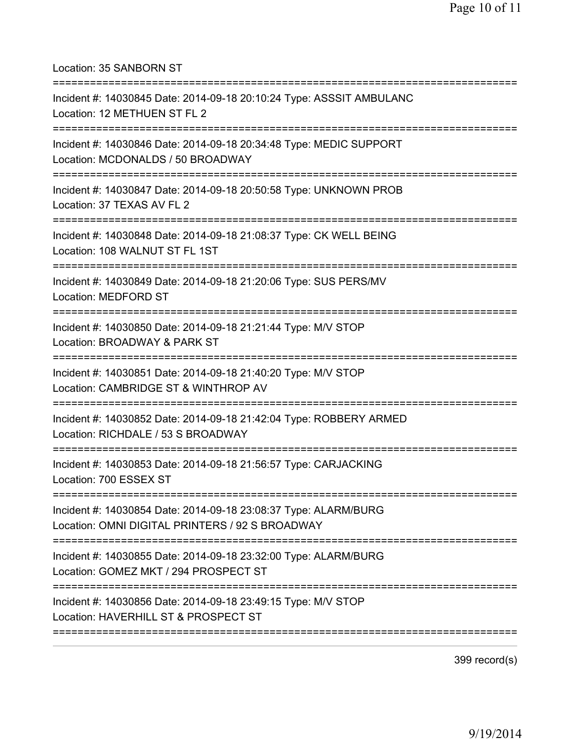Location: 35 SANBORN ST

| Incident #: 14030845 Date: 2014-09-18 20:10:24 Type: ASSSIT AMBULANC<br>Location: 12 METHUEN ST FL 2                                             |
|--------------------------------------------------------------------------------------------------------------------------------------------------|
| Incident #: 14030846 Date: 2014-09-18 20:34:48 Type: MEDIC SUPPORT<br>Location: MCDONALDS / 50 BROADWAY<br>===================================== |
| Incident #: 14030847 Date: 2014-09-18 20:50:58 Type: UNKNOWN PROB<br>Location: 37 TEXAS AV FL 2                                                  |
| Incident #: 14030848 Date: 2014-09-18 21:08:37 Type: CK WELL BEING<br>Location: 108 WALNUT ST FL 1ST                                             |
| Incident #: 14030849 Date: 2014-09-18 21:20:06 Type: SUS PERS/MV<br>Location: MEDFORD ST                                                         |
| Incident #: 14030850 Date: 2014-09-18 21:21:44 Type: M/V STOP<br>Location: BROADWAY & PARK ST                                                    |
| Incident #: 14030851 Date: 2014-09-18 21:40:20 Type: M/V STOP<br>Location: CAMBRIDGE ST & WINTHROP AV                                            |
| Incident #: 14030852 Date: 2014-09-18 21:42:04 Type: ROBBERY ARMED<br>Location: RICHDALE / 53 S BROADWAY                                         |
| Incident #: 14030853 Date: 2014-09-18 21:56:57 Type: CARJACKING<br>Location: 700 ESSEX ST                                                        |
| Incident #: 14030854 Date: 2014-09-18 23:08:37 Type: ALARM/BURG<br>Location: OMNI DIGITAL PRINTERS / 92 S BROADWAY                               |
| Incident #: 14030855 Date: 2014-09-18 23:32:00 Type: ALARM/BURG<br>Location: GOMEZ MKT / 294 PROSPECT ST<br>:======================              |
| =========================<br>Incident #: 14030856 Date: 2014-09-18 23:49:15 Type: M/V STOP<br>Location: HAVERHILL ST & PROSPECT ST               |
|                                                                                                                                                  |

399 record(s)